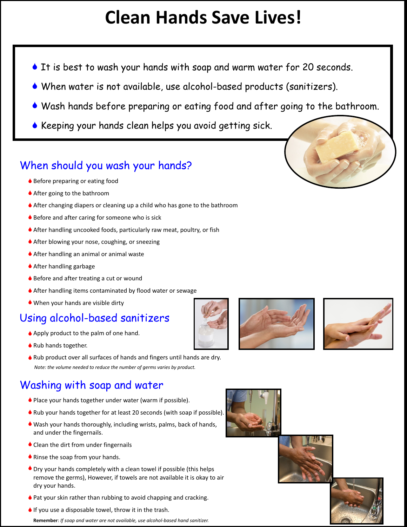# **Clean Hands Save Lives!**

- It is best to wash your hands with soap and warm water for 20 seconds.
- When water is not available, use alcohol-based products (sanitizers). S
- Wash hands before preparing or eating food and after going to the bathroom. S
- Keeping your hands clean helps you avoid getting sick. S

### When should you wash your hands?

- ◆ Before preparing or eating food
- ◆ After going to the bathroom
- After changing diapers or cleaning up a child who has gone to the bathroom S
- ♦ Before and after caring for someone who is sick
- After handling uncooked foods, particularly raw meat, poultry, or fish S
- ◆ After blowing your nose, coughing, or sneezing
- After handling an animal or animal waste S
- ◆ After handling garbage
- ♦ Before and after treating a cut or wound
- ♦ After handling items contaminated by flood water or sewage
- When your hands are visible dirty S

## Using alcohol-based sanitizers

- ◆ Apply product to the palm of one hand.
- ◆ Rub hands together.
- ♦ Rub product over all surfaces of hands and fingers until hands are dry. *Note: the volume needed to reduce the number of germs varies by product.*

## Washing with soap and water

- ◆ Place your hands together under water (warm if possible).
- Rub your hands together for at least 20 seconds (with soap if possible). S
- Wash your hands thoroughly, including wrists, palms, back of hands, Sand under the fingernails.
- Clean the dirt from under fingernails
- ◆ Rinse the soap from your hands.
- Dry your hands completely with a clean towel if possible (this helps S remove the germs), However, if towels are not available it is okay to air dry your hands.
- ◆ Pat your skin rather than rubbing to avoid chapping and cracking.
- $\bullet$  If you use a disposable towel, throw it in the trash.

**Remember**: *If soap and water are not available, use alcohol-based hand sanitizer.*